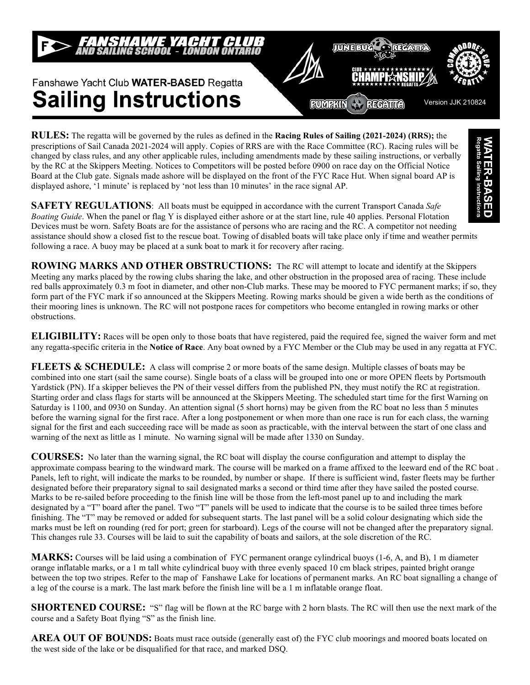

**RUMRKIN** RECATTO

不可过目的呢



Version JJK 210824

**RULES:** The regatta will be governed by the rules as defined in the **Racing Rules of Sailing (2021-2024) (RRS);** the prescriptions of Sail Canada 2021-2024 will apply. Copies of RRS are with the Race Committee (RC). Racing rules will be changed by class rules, and any other applicable rules, including amendments made by these sailing instructions, or verbally by the RC at the Skippers Meeting. Notices to Competitors will be posted before 0900 on race day on the Official Notice Board at the Club gate. Signals made ashore will be displayed on the front of the FYC Race Hut. When signal board AP is displayed ashore, '1 minute' is replaced by 'not less than 10 minutes' in the race signal AP.

**WATER-BASED**<br>Regatta Sailing Instructions **SAFETY REGULATIONS**: All boats must be equipped in accordance with the current Transport Canada *Safe Boating Guide*. When the panel or flag Y is displayed either ashore or at the start line, rule 40 applies. Personal Flotation Devices must be worn. Safety Boats are for the assistance of persons who are racing and the RC. A competitor not needing assistance should show a closed fist to the rescue boat. Towing of disabled boats will take place only if time and weather permits following a race. A buoy may be placed at a sunk boat to mark it for recovery after racing.

**ROWING MARKS AND OTHER OBSTRUCTIONS:** The RC will attempt to locate and identify at the Skippers Meeting any marks placed by the rowing clubs sharing the lake, and other obstruction in the proposed area of racing. These include red balls approximately 0.3 m foot in diameter, and other non-Club marks. These may be moored to FYC permanent marks; if so, they form part of the FYC mark if so announced at the Skippers Meeting. Rowing marks should be given a wide berth as the conditions of their mooring lines is unknown. The RC will not postpone races for competitors who become entangled in rowing marks or other obstructions.

**ELIGIBILITY:** Races will be open only to those boats that have registered, paid the required fee, signed the waiver form and met any regatta-specific criteria in the **Notice of Race**. Any boat owned by a FYC Member or the Club may be used in any regatta at FYC.

**FLEETS & SCHEDULE:** A class will comprise 2 or more boats of the same design. Multiple classes of boats may be combined into one start (sail the same course). Single boats of a class will be grouped into one or more OPEN fleets by Portsmouth Yardstick (PN). If a skipper believes the PN of their vessel differs from the published PN, they must notify the RC at registration. Starting order and class flags for starts will be announced at the Skippers Meeting. The scheduled start time for the first Warning on Saturday is 1100, and 0930 on Sunday. An attention signal (5 short horns) may be given from the RC boat no less than 5 minutes before the warning signal for the first race. After a long postponement or when more than one race is run for each class, the warning signal for the first and each succeeding race will be made as soon as practicable, with the interval between the start of one class and warning of the next as little as 1 minute. No warning signal will be made after 1330 on Sunday.

**COURSES:** No later than the warning signal, the RC boat will display the course configuration and attempt to display the approximate compass bearing to the windward mark. The course will be marked on a frame affixed to the leeward end of the RC boat . Panels, left to right, will indicate the marks to be rounded, by number or shape. If there is sufficient wind, faster fleets may be further designated before their preparatory signal to sail designated marks a second or third time after they have sailed the posted course. Marks to be re-sailed before proceeding to the finish line will be those from the left-most panel up to and including the mark designated by a "T" board after the panel. Two "T" panels will be used to indicate that the course is to be sailed three times before finishing. The "T" may be removed or added for subsequent starts. The last panel will be a solid colour designating which side the marks must be left on rounding (red for port; green for starboard). Legs of the course will not be changed after the preparatory signal. This changes rule 33. Courses will be laid to suit the capability of boats and sailors, at the sole discretion of the RC.

**MARKS:** Courses will be laid using a combination of FYC permanent orange cylindrical buoys (1-6, A, and B), 1 m diameter orange inflatable marks, or a 1 m tall white cylindrical buoy with three evenly spaced 10 cm black stripes, painted bright orange between the top two stripes. Refer to the map of Fanshawe Lake for locations of permanent marks. An RC boat signalling a change of a leg of the course is a mark. The last mark before the finish line will be a 1 m inflatable orange float.

**SHORTENED COURSE:** "S" flag will be flown at the RC barge with 2 horn blasts. The RC will then use the next mark of the course and a Safety Boat flying "S" as the finish line.

**AREA OUT OF BOUNDS:** Boats must race outside (generally east of) the FYC club moorings and moored boats located on the west side of the lake or be disqualified for that race, and marked DSQ.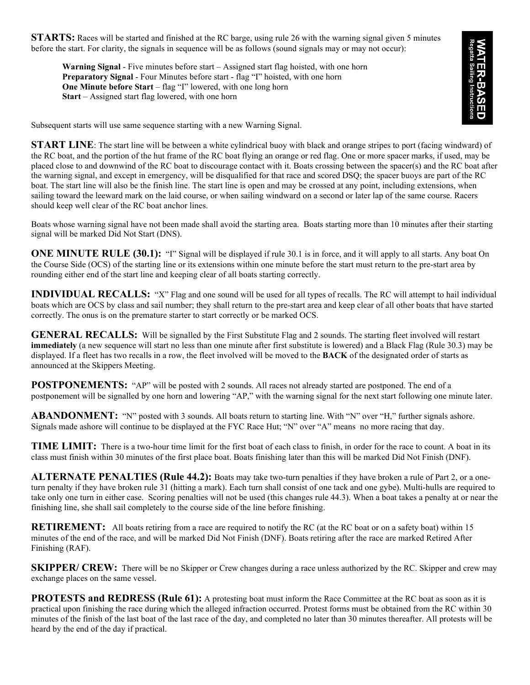**STARTS:** Races will be started and finished at the RC barge, using rule 26 with the warning signal given 5 minutes before the start. For clarity, the signals in sequence will be as follows (sound signals may or may not occur):

**Warning Signal** - Five minutes before start – Assigned start flag hoisted, with one horn **Preparatory Signal** - Four Minutes before start - flag "I" hoisted, with one horn **One Minute before Start** – flag "I" lowered, with one long horn **Start** – Assigned start flag lowered, with one horn



Subsequent starts will use same sequence starting with a new Warning Signal.

**START LINE**: The start line will be between a white cylindrical buoy with black and orange stripes to port (facing windward) of the RC boat, and the portion of the hut frame of the RC boat flying an orange or red flag. One or more spacer marks, if used, may be placed close to and downwind of the RC boat to discourage contact with it. Boats crossing between the spacer(s) and the RC boat after the warning signal, and except in emergency, will be disqualified for that race and scored DSQ; the spacer buoys are part of the RC boat. The start line will also be the finish line. The start line is open and may be crossed at any point, including extensions, when sailing toward the leeward mark on the laid course, or when sailing windward on a second or later lap of the same course. Racers should keep well clear of the RC boat anchor lines.

Boats whose warning signal have not been made shall avoid the starting area. Boats starting more than 10 minutes after their starting signal will be marked Did Not Start (DNS).

**ONE MINUTE RULE (30.1):** "I" Signal will be displayed if rule 30.1 is in force, and it will apply to all starts. Any boat On the Course Side (OCS) of the starting line or its extensions within one minute before the start must return to the pre-start area by rounding either end of the start line and keeping clear of all boats starting correctly.

**INDIVIDUAL RECALLS:** "X" Flag and one sound will be used for all types of recalls. The RC will attempt to hail individual boats which are OCS by class and sail number; they shall return to the pre-start area and keep clear of all other boats that have started correctly. The onus is on the premature starter to start correctly or be marked OCS.

**GENERAL RECALLS:** Will be signalled by the First Substitute Flag and 2 sounds. The starting fleet involved will restart **immediately** (a new sequence will start no less than one minute after first substitute is lowered) and a Black Flag (Rule 30.3) may be displayed. If a fleet has two recalls in a row, the fleet involved will be moved to the **BACK** of the designated order of starts as announced at the Skippers Meeting.

**POSTPONEMENTS:** "AP" will be posted with 2 sounds. All races not already started are postponed. The end of a postponement will be signalled by one horn and lowering "AP," with the warning signal for the next start following one minute later.

**ABANDONMENT:** "N" posted with 3 sounds. All boats return to starting line. With "N" over "H," further signals ashore. Signals made ashore will continue to be displayed at the FYC Race Hut; "N" over "A" means no more racing that day.

**TIME LIMIT:** There is a two-hour time limit for the first boat of each class to finish, in order for the race to count. A boat in its class must finish within 30 minutes of the first place boat. Boats finishing later than this will be marked Did Not Finish (DNF).

**ALTERNATE PENALTIES (Rule 44.2):** Boats may take two-turn penalties if they have broken a rule of Part 2, or a oneturn penalty if they have broken rule 31 (hitting a mark). Each turn shall consist of one tack and one gybe). Multi-hulls are required to take only one turn in either case. Scoring penalties will not be used (this changes rule 44.3). When a boat takes a penalty at or near the finishing line, she shall sail completely to the course side of the line before finishing.

**RETIREMENT:** All boats retiring from a race are required to notify the RC (at the RC boat or on a safety boat) within 15 minutes of the end of the race, and will be marked Did Not Finish (DNF). Boats retiring after the race are marked Retired After Finishing (RAF).

**SKIPPER/ CREW:** There will be no Skipper or Crew changes during a race unless authorized by the RC. Skipper and crew may exchange places on the same vessel.

**PROTESTS and REDRESS (Rule 61):** A protesting boat must inform the Race Committee at the RC boat as soon as it is practical upon finishing the race during which the alleged infraction occurred. Protest forms must be obtained from the RC within 30 minutes of the finish of the last boat of the last race of the day, and completed no later than 30 minutes thereafter. All protests will be heard by the end of the day if practical.